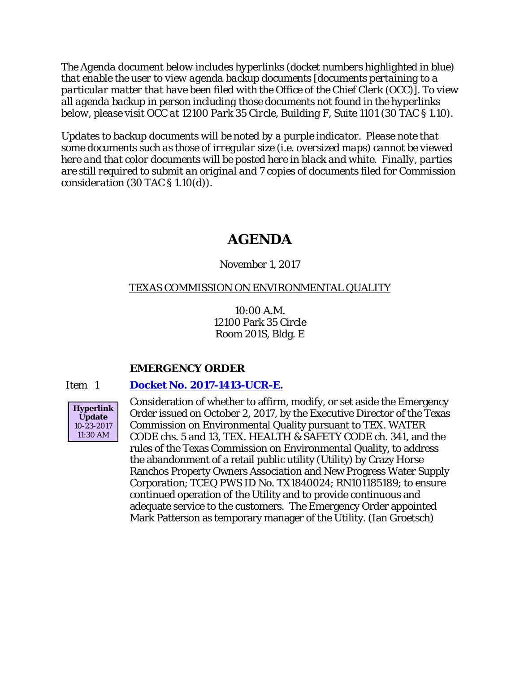*The Agenda document below includes hyperlinks (docket numbers highlighted in blue) that enable the user to view agenda backup documents [documents pertaining to a particular matter that have been filed with the Office of the Chief Clerk (OCC)]. To view all agenda backup in person including those documents not found in the hyperlinks below, please visit OCC at 12100 Park 35 Circle, Building F, Suite 1101 (30 TAC § 1.10).*

*Updates to backup documents will be noted by a purple indicator. Please note that some documents such as those of irregular size (i.e. oversized maps) cannot be viewed here and that color documents will be posted here in black and white. Finally, parties are still required to submit an original and 7 copies of documents filed for Commission consideration (30 TAC § 1.10(d)).*

# **AGENDA**

## November 1, 2017

## TEXAS COMMISSION ON ENVIRONMENTAL QUALITY

10:00 A.M. 12100 Park 35 Circle Room 201S, Bldg. E

## **EMERGENCY ORDER**

## Item 1 **[Docket No. 2017-1413-UCR-E.](http://www.tceq.texas.gov/assets/public/comm_exec/agendas/comm/backup/Agendas/2017/11-01-2017/1413UCR.pdf)**



Consideration of whether to affirm, modify, or set aside the Emergency Order issued on October 2, 2017, by the Executive Director of the Texas Commission on Environmental Quality pursuant to TEX. WATER CODE chs. 5 and 13, TEX. HEALTH & SAFETY CODE ch. 341, and the rules of the Texas Commission on Environmental Quality, to address the abandonment of a retail public utility (Utility) by Crazy Horse Ranchos Property Owners Association and New Progress Water Supply Corporation; TCEQ PWS ID No. TX1840024; RN101185189; to ensure continued operation of the Utility and to provide continuous and adequate service to the customers. The Emergency Order appointed Mark Patterson as temporary manager of the Utility. (Ian Groetsch)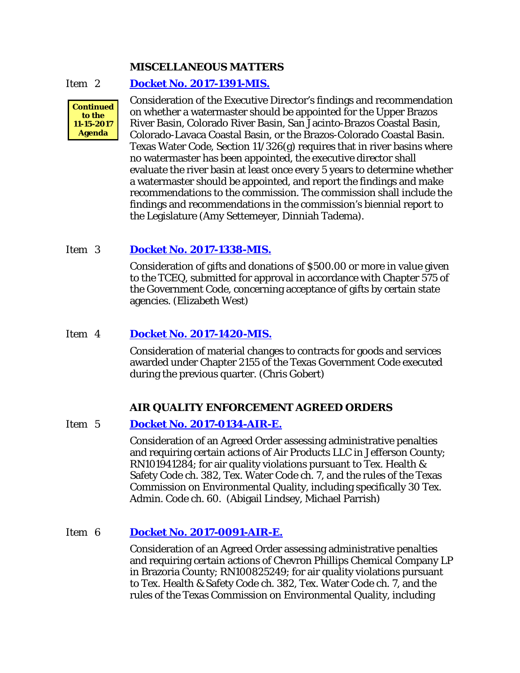#### **MISCELLANEOUS MATTERS**

#### Item 2 **[Docket No. 2017-1391-MIS.](http://www.tceq.texas.gov/assets/public/comm_exec/agendas/comm/backup/Agendas/2017/11-01-2017/1391MIS.pdf)**



Consideration of the Executive Director's findings and recommendation on whether a watermaster should be appointed for the Upper Brazos River Basin, Colorado River Basin, San Jacinto-Brazos Coastal Basin, Colorado-Lavaca Coastal Basin, or the Brazos-Colorado Coastal Basin. Texas Water Code, Section 11/326(g) requires that in river basins where no watermaster has been appointed, the executive director shall evaluate the river basin at least once every 5 years to determine whether a watermaster should be appointed, and report the findings and make recommendations to the commission. The commission shall include the findings and recommendations in the commission's biennial report to the Legislature (Amy Settemeyer, Dinniah Tadema).

#### Item 3 **[Docket No. 2017-1338-MIS.](http://www.tceq.texas.gov/assets/public/comm_exec/agendas/comm/backup/Agendas/2017/11-01-2017/1338MIS.pdf)**

Consideration of gifts and donations of \$500.00 or more in value given to the TCEQ, submitted for approval in accordance with Chapter 575 of the Government Code, concerning acceptance of gifts by certain state agencies. (Elizabeth West)

#### Item 4 **[Docket No. 2017-1420-MIS.](http://www.tceq.texas.gov/assets/public/comm_exec/agendas/comm/backup/Agendas/2017/11-01-2017/1420MIS.pdf)**

Consideration of material changes to contracts for goods and services awarded under Chapter 2155 of the Texas Government Code executed during the previous quarter. (Chris Gobert)

#### **AIR QUALITY ENFORCEMENT AGREED ORDERS**

## Item 5 **Docket No. [2017-0134-AIR-E.](http://www.tceq.texas.gov/assets/public/comm_exec/agendas/comm/backup/Agendas/2017/11-01-2017/0134AIR.pdf)**

Consideration of an Agreed Order assessing administrative penalties and requiring certain actions of Air Products LLC in Jefferson County; RN101941284; for air quality violations pursuant to Tex. Health & Safety Code ch. 382, Tex. Water Code ch. 7, and the rules of the Texas Commission on Environmental Quality, including specifically 30 Tex. Admin. Code ch. 60. (Abigail Lindsey, Michael Parrish)

#### Item 6 **Docket No. [2017-0091-AIR-E.](http://www.tceq.texas.gov/assets/public/comm_exec/agendas/comm/backup/Agendas/2017/11-01-2017/0091AIR.pdf)**

Consideration of an Agreed Order assessing administrative penalties and requiring certain actions of Chevron Phillips Chemical Company LP in Brazoria County; RN100825249; for air quality violations pursuant to Tex. Health & Safety Code ch. 382, Tex. Water Code ch. 7, and the rules of the Texas Commission on Environmental Quality, including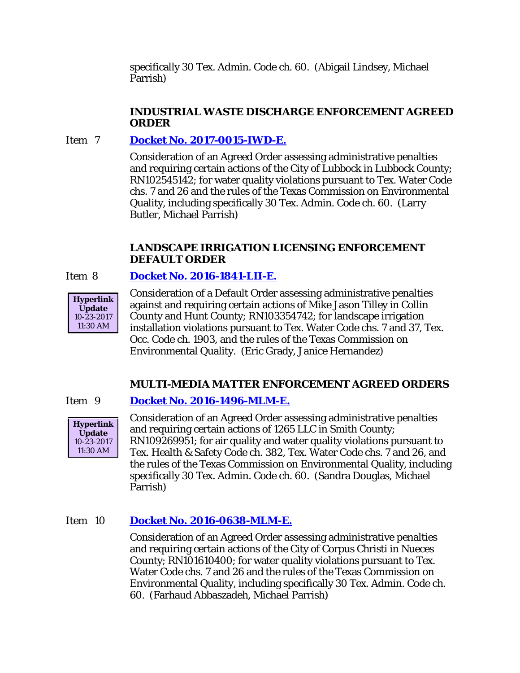specifically 30 Tex. Admin. Code ch. 60. (Abigail Lindsey, Michael Parrish)

## **INDUSTRIAL WASTE DISCHARGE ENFORCEMENT AGREED ORDER**

## Item 7 **Docket No. [2017-0015-IWD-E.](http://www.tceq.texas.gov/assets/public/comm_exec/agendas/comm/backup/Agendas/2017/11-01-2017/0015IWD.pdf)**

Consideration of an Agreed Order assessing administrative penalties and requiring certain actions of the City of Lubbock in Lubbock County; RN102545142; for water quality violations pursuant to Tex. Water Code chs. 7 and 26 and the rules of the Texas Commission on Environmental Quality, including specifically 30 Tex. Admin. Code ch. 60. (Larry Butler, Michael Parrish)

## **LANDSCAPE IRRIGATION LICENSING ENFORCEMENT DEFAULT ORDER**

## Item 8 **Docket No. [2016-1841-LII-E.](http://www.tceq.texas.gov/assets/public/comm_exec/agendas/comm/backup/Agendas/2017/11-01-2017/1841LII.pdf)**



Consideration of a Default Order assessing administrative penalties against and requiring certain actions of Mike Jason Tilley in Collin County and Hunt County; RN103354742; for landscape irrigation installation violations pursuant to Tex. Water Code chs. 7 and 37, Tex. Occ. Code ch. 1903, and the rules of the Texas Commission on Environmental Quality. (Eric Grady, Janice Hernandez)

## **MULTI-MEDIA MATTER ENFORCEMENT AGREED ORDERS**

## Item 9 **Docket No. [2016-1496-MLM-E.](http://www.tceq.texas.gov/assets/public/comm_exec/agendas/comm/backup/Agendas/2017/11-01-2017/1496MLM.pdf)**



Consideration of an Agreed Order assessing administrative penalties and requiring certain actions of 1265 LLC in Smith County; RN109269951; for air quality and water quality violations pursuant to Tex. Health & Safety Code ch. 382, Tex. Water Code chs. 7 and 26, and the rules of the Texas Commission on Environmental Quality, including specifically 30 Tex. Admin. Code ch. 60. (Sandra Douglas, Michael Parrish)

## Item 10 **Docket No. [2016-0638-MLM-E.](http://www.tceq.texas.gov/assets/public/comm_exec/agendas/comm/backup/Agendas/2017/11-01-2017/0638MLM.pdf)**

Consideration of an Agreed Order assessing administrative penalties and requiring certain actions of the City of Corpus Christi in Nueces County; RN101610400; for water quality violations pursuant to Tex. Water Code chs. 7 and 26 and the rules of the Texas Commission on Environmental Quality, including specifically 30 Tex. Admin. Code ch. 60. (Farhaud Abbaszadeh, Michael Parrish)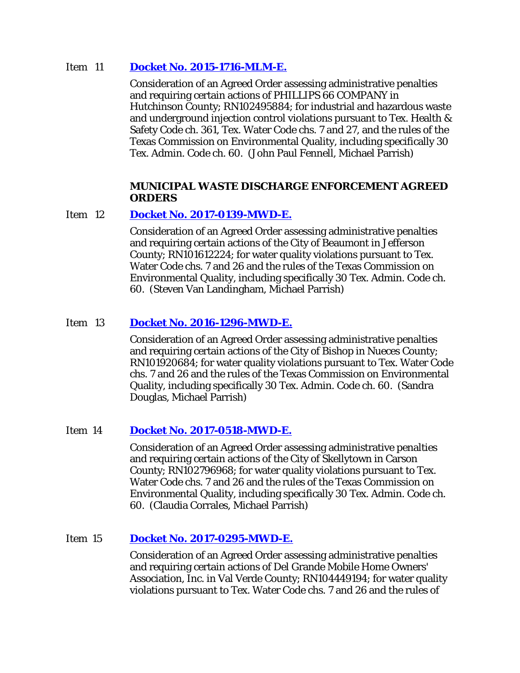### Item 11 **Docket No. [2015-1716-MLM-E.](http://www.tceq.texas.gov/assets/public/comm_exec/agendas/comm/backup/Agendas/2017/11-01-2017/1716MLM.pdf)**

Consideration of an Agreed Order assessing administrative penalties and requiring certain actions of PHILLIPS 66 COMPANY in Hutchinson County; RN102495884; for industrial and hazardous waste and underground injection control violations pursuant to Tex. Health & Safety Code ch. 361, Tex. Water Code chs. 7 and 27, and the rules of the Texas Commission on Environmental Quality, including specifically 30 Tex. Admin. Code ch. 60. (John Paul Fennell, Michael Parrish)

#### **MUNICIPAL WASTE DISCHARGE ENFORCEMENT AGREED ORDERS**

#### Item 12 **Docket No. [2017-0139-MWD-E.](http://www.tceq.texas.gov/assets/public/comm_exec/agendas/comm/backup/Agendas/2017/11-01-2017/0139MWD.pdf)**

Consideration of an Agreed Order assessing administrative penalties and requiring certain actions of the City of Beaumont in Jefferson County; RN101612224; for water quality violations pursuant to Tex. Water Code chs. 7 and 26 and the rules of the Texas Commission on Environmental Quality, including specifically 30 Tex. Admin. Code ch. 60. (Steven Van Landingham, Michael Parrish)

## Item 13 **Docket No. [2016-1296-MWD-E.](http://www.tceq.texas.gov/assets/public/comm_exec/agendas/comm/backup/Agendas/2017/11-01-2017/1296MWD.pdf)**

Consideration of an Agreed Order assessing administrative penalties and requiring certain actions of the City of Bishop in Nueces County; RN101920684; for water quality violations pursuant to Tex. Water Code chs. 7 and 26 and the rules of the Texas Commission on Environmental Quality, including specifically 30 Tex. Admin. Code ch. 60. (Sandra Douglas, Michael Parrish)

## Item 14 **[Docket No. 2017-0518-MWD-E.](http://www.tceq.texas.gov/assets/public/comm_exec/agendas/comm/backup/Agendas/2017/11-01-2017/0518MWD.pdf)**

Consideration of an Agreed Order assessing administrative penalties and requiring certain actions of the City of Skellytown in Carson County; RN102796968; for water quality violations pursuant to Tex. Water Code chs. 7 and 26 and the rules of the Texas Commission on Environmental Quality, including specifically 30 Tex. Admin. Code ch. 60. (Claudia Corrales, Michael Parrish)

## Item 15 **Docket No. [2017-0295-MWD-E.](http://www.tceq.texas.gov/assets/public/comm_exec/agendas/comm/backup/Agendas/2017/11-01-2017/0295MWD.pdf)**

Consideration of an Agreed Order assessing administrative penalties and requiring certain actions of Del Grande Mobile Home Owners' Association, Inc. in Val Verde County; RN104449194; for water quality violations pursuant to Tex. Water Code chs. 7 and 26 and the rules of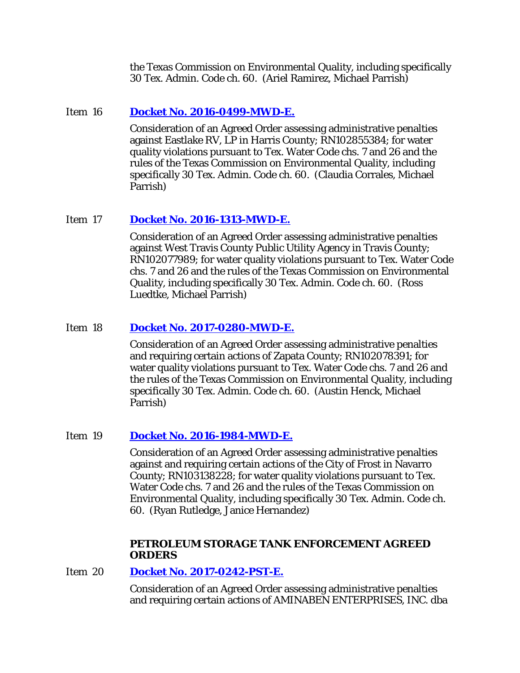the Texas Commission on Environmental Quality, including specifically 30 Tex. Admin. Code ch. 60. (Ariel Ramirez, Michael Parrish)

### Item 16 **Docket No. [2016-0499-MWD-E.](http://www.tceq.texas.gov/assets/public/comm_exec/agendas/comm/backup/Agendas/2017/11-01-2017/0499MWD.pdf)**

Consideration of an Agreed Order assessing administrative penalties against Eastlake RV, LP in Harris County; RN102855384; for water quality violations pursuant to Tex. Water Code chs. 7 and 26 and the rules of the Texas Commission on Environmental Quality, including specifically 30 Tex. Admin. Code ch. 60. (Claudia Corrales, Michael Parrish)

#### Item 17 **Docket No. [2016-1313-MWD-E.](http://www.tceq.texas.gov/assets/public/comm_exec/agendas/comm/backup/Agendas/2017/11-01-2017/1313MWD.pdf)**

Consideration of an Agreed Order assessing administrative penalties against West Travis County Public Utility Agency in Travis County; RN102077989; for water quality violations pursuant to Tex. Water Code chs. 7 and 26 and the rules of the Texas Commission on Environmental Quality, including specifically 30 Tex. Admin. Code ch. 60. (Ross Luedtke, Michael Parrish)

#### Item 18 **Docket No. [2017-0280-MWD-E.](http://www.tceq.texas.gov/assets/public/comm_exec/agendas/comm/backup/Agendas/2017/11-01-2017/0280MWD.pdf)**

Consideration of an Agreed Order assessing administrative penalties and requiring certain actions of Zapata County; RN102078391; for water quality violations pursuant to Tex. Water Code chs. 7 and 26 and the rules of the Texas Commission on Environmental Quality, including specifically 30 Tex. Admin. Code ch. 60. (Austin Henck, Michael Parrish)

#### Item 19 **Docket No. [2016-1984-MWD-E.](http://www.tceq.texas.gov/assets/public/comm_exec/agendas/comm/backup/Agendas/2017/11-01-2017/1984MWD.pdf)**

Consideration of an Agreed Order assessing administrative penalties against and requiring certain actions of the City of Frost in Navarro County; RN103138228; for water quality violations pursuant to Tex. Water Code chs. 7 and 26 and the rules of the Texas Commission on Environmental Quality, including specifically 30 Tex. Admin. Code ch. 60. (Ryan Rutledge, Janice Hernandez)

#### **PETROLEUM STORAGE TANK ENFORCEMENT AGREED ORDERS**

Item 20 **Docket No. [2017-0242-PST-E.](http://www.tceq.texas.gov/assets/public/comm_exec/agendas/comm/backup/Agendas/2017/11-01-2017/0242PST.pdf)** 

Consideration of an Agreed Order assessing administrative penalties and requiring certain actions of AMINABEN ENTERPRISES, INC. dba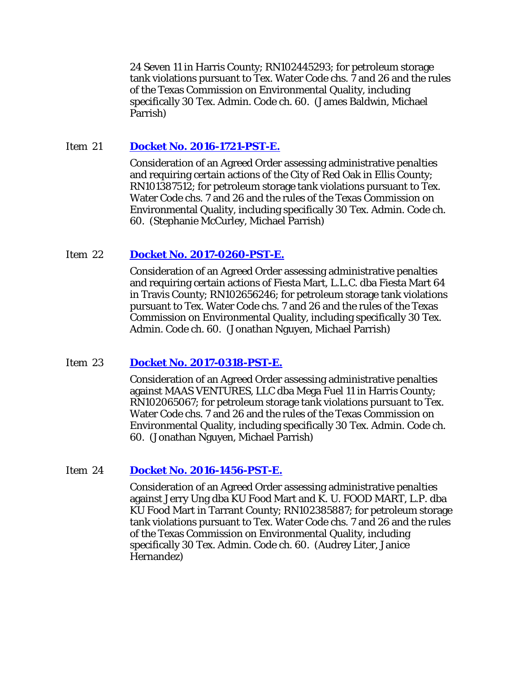24 Seven 11 in Harris County; RN102445293; for petroleum storage tank violations pursuant to Tex. Water Code chs. 7 and 26 and the rules of the Texas Commission on Environmental Quality, including specifically 30 Tex. Admin. Code ch. 60. (James Baldwin, Michael Parrish)

### Item 21 **Docket No. [2016-1721-PST-E.](http://www.tceq.texas.gov/assets/public/comm_exec/agendas/comm/backup/Agendas/2017/11-01-2017/1721PST.pdf)**

Consideration of an Agreed Order assessing administrative penalties and requiring certain actions of the City of Red Oak in Ellis County; RN101387512; for petroleum storage tank violations pursuant to Tex. Water Code chs. 7 and 26 and the rules of the Texas Commission on Environmental Quality, including specifically 30 Tex. Admin. Code ch. 60. (Stephanie McCurley, Michael Parrish)

#### Item 22 **Docket No. [2017-0260-PST-E.](http://www.tceq.texas.gov/assets/public/comm_exec/agendas/comm/backup/Agendas/2017/11-01-2017/0260PST.pdf)**

Consideration of an Agreed Order assessing administrative penalties and requiring certain actions of Fiesta Mart, L.L.C. dba Fiesta Mart 64 in Travis County; RN102656246; for petroleum storage tank violations pursuant to Tex. Water Code chs. 7 and 26 and the rules of the Texas Commission on Environmental Quality, including specifically 30 Tex. Admin. Code ch. 60. (Jonathan Nguyen, Michael Parrish)

#### Item 23 **Docket No. [2017-0318-PST-E.](http://www.tceq.texas.gov/assets/public/comm_exec/agendas/comm/backup/Agendas/2017/11-01-2017/0318PST.pdf)**

Consideration of an Agreed Order assessing administrative penalties against MAAS VENTURES, LLC dba Mega Fuel 11 in Harris County; RN102065067; for petroleum storage tank violations pursuant to Tex. Water Code chs. 7 and 26 and the rules of the Texas Commission on Environmental Quality, including specifically 30 Tex. Admin. Code ch. 60. (Jonathan Nguyen, Michael Parrish)

## Item 24 **Docket No. [2016-1456-PST-E.](http://www.tceq.texas.gov/assets/public/comm_exec/agendas/comm/backup/Agendas/2017/11-01-2017/1456PST.pdf)**

Consideration of an Agreed Order assessing administrative penalties against Jerry Ung dba KU Food Mart and K. U. FOOD MART, L.P. dba KU Food Mart in Tarrant County; RN102385887; for petroleum storage tank violations pursuant to Tex. Water Code chs. 7 and 26 and the rules of the Texas Commission on Environmental Quality, including specifically 30 Tex. Admin. Code ch. 60. (Audrey Liter, Janice Hernandez)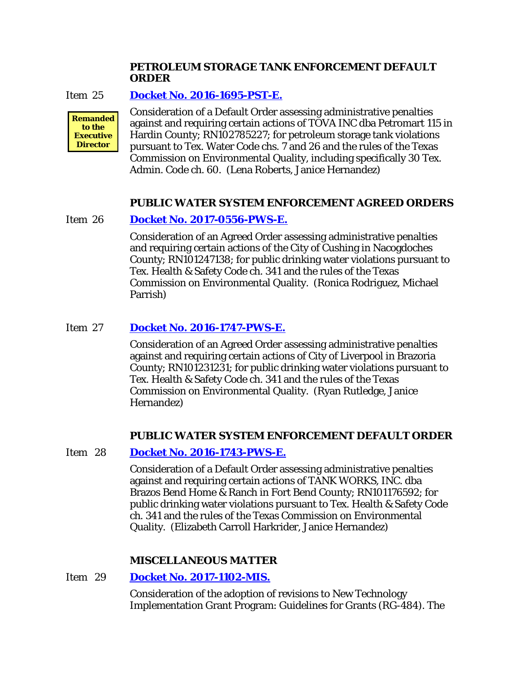### **PETROLEUM STORAGE TANK ENFORCEMENT DEFAULT ORDER**

#### Item 25 **Docket No. [2016-1695-PST-E.](http://www.tceq.texas.gov/assets/public/comm_exec/agendas/comm/backup/Agendas/2017/11-01-2017/1695PST.pdf)**



Consideration of a Default Order assessing administrative penalties against and requiring certain actions of TOVA INC dba Petromart 115 in Hardin County; RN102785227; for petroleum storage tank violations pursuant to Tex. Water Code chs. 7 and 26 and the rules of the Texas Commission on Environmental Quality, including specifically 30 Tex. Admin. Code ch. 60. (Lena Roberts, Janice Hernandez)

#### **PUBLIC WATER SYSTEM ENFORCEMENT AGREED ORDERS**

#### Item 26 **Docket No. [2017-0556-PWS-E.](http://www.tceq.texas.gov/assets/public/comm_exec/agendas/comm/backup/Agendas/2017/11-01-2017/0556PWS.pdf)**

Consideration of an Agreed Order assessing administrative penalties and requiring certain actions of the City of Cushing in Nacogdoches County; RN101247138; for public drinking water violations pursuant to Tex. Health & Safety Code ch. 341 and the rules of the Texas Commission on Environmental Quality. (Ronica Rodriguez, Michael Parrish)

## Item 27 **Docket No. [2016-1747-PWS-E.](http://www.tceq.texas.gov/assets/public/comm_exec/agendas/comm/backup/Agendas/2017/11-01-2017/1747PWS.pdf)**

Consideration of an Agreed Order assessing administrative penalties against and requiring certain actions of City of Liverpool in Brazoria County; RN101231231; for public drinking water violations pursuant to Tex. Health & Safety Code ch. 341 and the rules of the Texas Commission on Environmental Quality. (Ryan Rutledge, Janice Hernandez)

#### **PUBLIC WATER SYSTEM ENFORCEMENT DEFAULT ORDER**

#### Item 28 **Docket No. [2016-1743-PWS-E.](http://www.tceq.texas.gov/assets/public/comm_exec/agendas/comm/backup/Agendas/2017/11-01-2017/1743PWS.pdf)**

Consideration of a Default Order assessing administrative penalties against and requiring certain actions of TANK WORKS, INC. dba Brazos Bend Home & Ranch in Fort Bend County; RN101176592; for public drinking water violations pursuant to Tex. Health & Safety Code ch. 341 and the rules of the Texas Commission on Environmental Quality. (Elizabeth Carroll Harkrider, Janice Hernandez)

#### **MISCELLANEOUS MATTER**

#### Item 29 **[Docket No. 2017-1102-MIS.](http://www.tceq.texas.gov/assets/public/comm_exec/agendas/comm/backup/Agendas/2017/11-01-2017/1102MIS.pdf)**

Consideration of the adoption of revisions to New Technology Implementation Grant Program: Guidelines for Grants (RG-484). The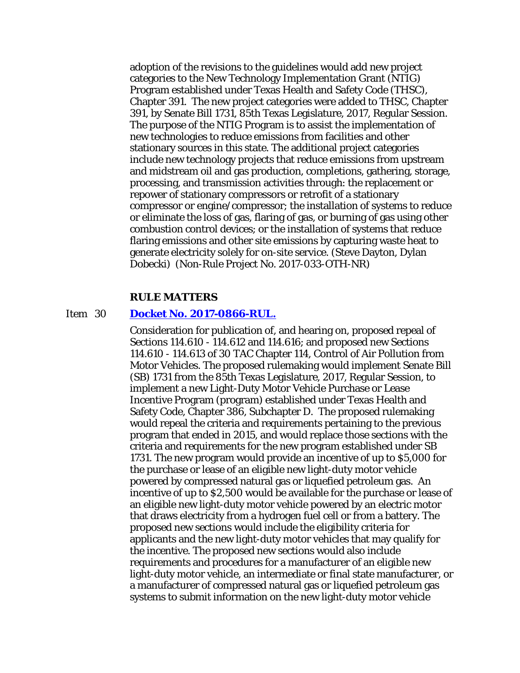adoption of the revisions to the guidelines would add new project categories to the New Technology Implementation Grant (NTIG) Program established under Texas Health and Safety Code (THSC), Chapter 391. The new project categories were added to THSC, Chapter 391, by Senate Bill 1731, 85th Texas Legislature, 2017, Regular Session. The purpose of the NTIG Program is to assist the implementation of new technologies to reduce emissions from facilities and other stationary sources in this state. The additional project categories include new technology projects that reduce emissions from upstream and midstream oil and gas production, completions, gathering, storage, processing, and transmission activities through: the replacement or repower of stationary compressors or retrofit of a stationary compressor or engine/compressor; the installation of systems to reduce or eliminate the loss of gas, flaring of gas, or burning of gas using other combustion control devices; or the installation of systems that reduce flaring emissions and other site emissions by capturing waste heat to generate electricity solely for on-site service. (Steve Dayton, Dylan Dobecki) (Non-Rule Project No. 2017-033-OTH-NR)

#### **RULE MATTERS**

#### Item 30 **[Docket No. 2017-0866-RUL.](http://www.tceq.texas.gov/assets/public/comm_exec/agendas/comm/backup/Agendas/2017/11-01-2017/0866RUL.pdf)**

Consideration for publication of, and hearing on, proposed repeal of Sections 114.610 - 114.612 and 114.616; and proposed new Sections 114.610 - 114.613 of 30 TAC Chapter 114, Control of Air Pollution from Motor Vehicles. The proposed rulemaking would implement Senate Bill (SB) 1731 from the 85th Texas Legislature, 2017, Regular Session, to implement a new Light-Duty Motor Vehicle Purchase or Lease Incentive Program (program) established under Texas Health and Safety Code, Chapter 386, Subchapter D. The proposed rulemaking would repeal the criteria and requirements pertaining to the previous program that ended in 2015, and would replace those sections with the criteria and requirements for the new program established under SB 1731. The new program would provide an incentive of up to \$5,000 for the purchase or lease of an eligible new light-duty motor vehicle powered by compressed natural gas or liquefied petroleum gas. An incentive of up to \$2,500 would be available for the purchase or lease of an eligible new light-duty motor vehicle powered by an electric motor that draws electricity from a hydrogen fuel cell or from a battery. The proposed new sections would include the eligibility criteria for applicants and the new light-duty motor vehicles that may qualify for the incentive. The proposed new sections would also include requirements and procedures for a manufacturer of an eligible new light-duty motor vehicle, an intermediate or final state manufacturer, or a manufacturer of compressed natural gas or liquefied petroleum gas systems to submit information on the new light-duty motor vehicle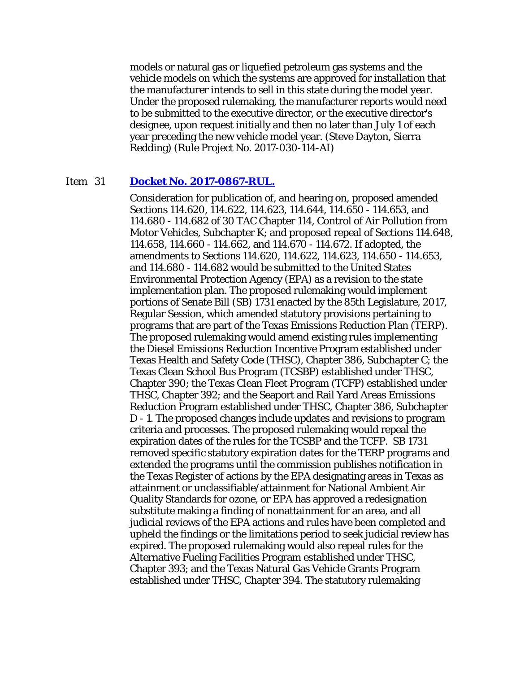models or natural gas or liquefied petroleum gas systems and the vehicle models on which the systems are approved for installation that the manufacturer intends to sell in this state during the model year. Under the proposed rulemaking, the manufacturer reports would need to be submitted to the executive director, or the executive director's designee, upon request initially and then no later than July 1 of each year preceding the new vehicle model year. (Steve Dayton, Sierra Redding) (Rule Project No. 2017-030-114-AI)

#### Item 31 **[Docket No. 2017-0867-RUL.](http://www.tceq.texas.gov/assets/public/comm_exec/agendas/comm/backup/Agendas/2017/11-01-2017/0867RUL.pdf)**

Consideration for publication of, and hearing on, proposed amended Sections 114.620, 114.622, 114.623, 114.644, 114.650 - 114.653, and 114.680 - 114.682 of 30 TAC Chapter 114, Control of Air Pollution from Motor Vehicles, Subchapter K; and proposed repeal of Sections 114.648, 114.658, 114.660 - 114.662, and 114.670 - 114.672. If adopted, the amendments to Sections 114.620, 114.622, 114.623, 114.650 - 114.653, and 114.680 - 114.682 would be submitted to the United States Environmental Protection Agency (EPA) as a revision to the state implementation plan. The proposed rulemaking would implement portions of Senate Bill (SB) 1731 enacted by the 85th Legislature, 2017, Regular Session, which amended statutory provisions pertaining to programs that are part of the Texas Emissions Reduction Plan (TERP). The proposed rulemaking would amend existing rules implementing the Diesel Emissions Reduction Incentive Program established under Texas Health and Safety Code (THSC), Chapter 386, Subchapter C; the Texas Clean School Bus Program (TCSBP) established under THSC, Chapter 390; the Texas Clean Fleet Program (TCFP) established under THSC, Chapter 392; and the Seaport and Rail Yard Areas Emissions Reduction Program established under THSC, Chapter 386, Subchapter D - 1. The proposed changes include updates and revisions to program criteria and processes. The proposed rulemaking would repeal the expiration dates of the rules for the TCSBP and the TCFP. SB 1731 removed specific statutory expiration dates for the TERP programs and extended the programs until the commission publishes notification in the Texas Register of actions by the EPA designating areas in Texas as attainment or unclassifiable/attainment for National Ambient Air Quality Standards for ozone, or EPA has approved a redesignation substitute making a finding of nonattainment for an area, and all judicial reviews of the EPA actions and rules have been completed and upheld the findings or the limitations period to seek judicial review has expired. The proposed rulemaking would also repeal rules for the Alternative Fueling Facilities Program established under THSC, Chapter 393; and the Texas Natural Gas Vehicle Grants Program established under THSC, Chapter 394. The statutory rulemaking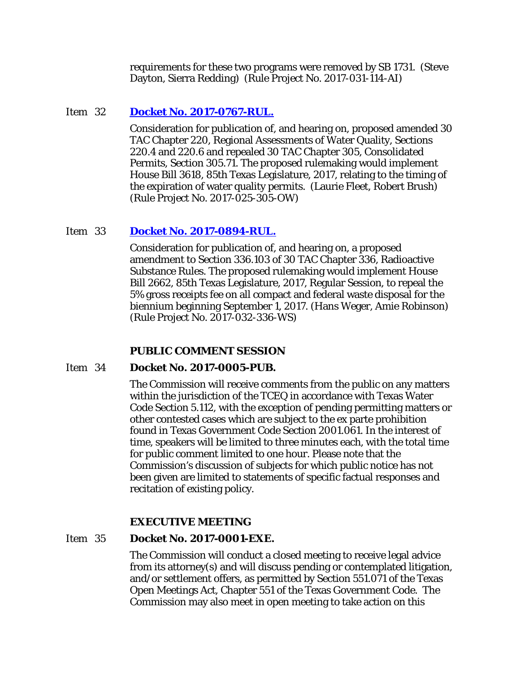requirements for these two programs were removed by SB 1731. (Steve Dayton, Sierra Redding) (Rule Project No. 2017-031-114-AI)

## Item 32 **[Docket No. 2017-0767-RUL.](http://www.tceq.texas.gov/assets/public/comm_exec/agendas/comm/backup/Agendas/2017/11-01-2017/0767RUL.pdf)**

Consideration for publication of, and hearing on, proposed amended 30 TAC Chapter 220, Regional Assessments of Water Quality, Sections 220.4 and 220.6 and repealed 30 TAC Chapter 305, Consolidated Permits, Section 305.71. The proposed rulemaking would implement House Bill 3618, 85th Texas Legislature, 2017, relating to the timing of the expiration of water quality permits. (Laurie Fleet, Robert Brush) (Rule Project No. 2017-025-305-OW)

## Item 33 **[Docket No. 2017-0894-RUL.](http://www.tceq.texas.gov/assets/public/comm_exec/agendas/comm/backup/Agendas/2017/11-01-2017/0894RUL.pdf)**

Consideration for publication of, and hearing on, a proposed amendment to Section 336.103 of 30 TAC Chapter 336, Radioactive Substance Rules. The proposed rulemaking would implement House Bill 2662, 85th Texas Legislature, 2017, Regular Session, to repeal the 5% gross receipts fee on all compact and federal waste disposal for the biennium beginning September 1, 2017. (Hans Weger, Amie Robinson) (Rule Project No. 2017-032-336-WS)

## **PUBLIC COMMENT SESSION**

## Item 34 **Docket No. 2017-0005-PUB.**

The Commission will receive comments from the public on any matters within the jurisdiction of the TCEQ in accordance with Texas Water Code Section 5.112, with the exception of pending permitting matters or other contested cases which are subject to the ex parte prohibition found in Texas Government Code Section 2001.061. In the interest of time, speakers will be limited to three minutes each, with the total time for public comment limited to one hour. Please note that the Commission's discussion of subjects for which public notice has not been given are limited to statements of specific factual responses and recitation of existing policy.

## **EXECUTIVE MEETING**

## Item 35 **Docket No. 2017-0001-EXE.**

The Commission will conduct a closed meeting to receive legal advice from its attorney(s) and will discuss pending or contemplated litigation, and/or settlement offers, as permitted by Section 551.071 of the Texas Open Meetings Act, Chapter 551 of the Texas Government Code. The Commission may also meet in open meeting to take action on this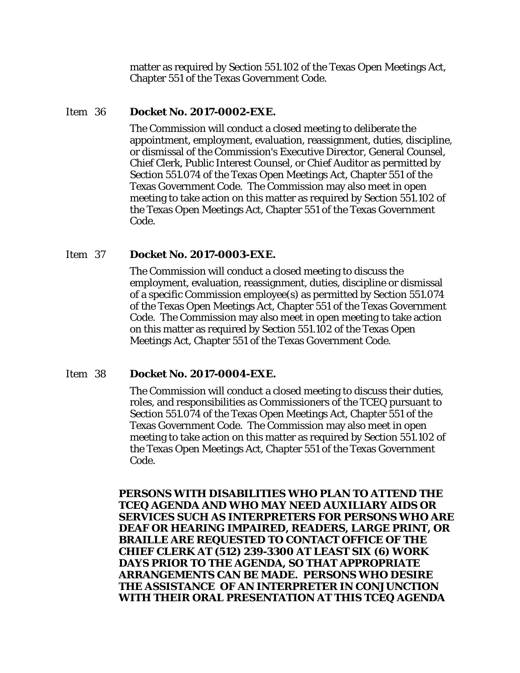matter as required by Section 551.102 of the Texas Open Meetings Act, Chapter 551 of the Texas Government Code.

#### Item 36 **Docket No. 2017-0002-EXE.**

The Commission will conduct a closed meeting to deliberate the appointment, employment, evaluation, reassignment, duties, discipline, or dismissal of the Commission's Executive Director, General Counsel, Chief Clerk, Public Interest Counsel, or Chief Auditor as permitted by Section 551.074 of the Texas Open Meetings Act, Chapter 551 of the Texas Government Code. The Commission may also meet in open meeting to take action on this matter as required by Section 551.102 of the Texas Open Meetings Act, Chapter 551 of the Texas Government Code.

#### Item 37 **Docket No. 2017-0003-EXE.**

The Commission will conduct a closed meeting to discuss the employment, evaluation, reassignment, duties, discipline or dismissal of a specific Commission employee(s) as permitted by Section 551.074 of the Texas Open Meetings Act, Chapter 551 of the Texas Government Code. The Commission may also meet in open meeting to take action on this matter as required by Section 551.102 of the Texas Open Meetings Act, Chapter 551 of the Texas Government Code.

## Item 38 **Docket No. 2017-0004-EXE.**

The Commission will conduct a closed meeting to discuss their duties, roles, and responsibilities as Commissioners of the TCEQ pursuant to Section 551.074 of the Texas Open Meetings Act, Chapter 551 of the Texas Government Code. The Commission may also meet in open meeting to take action on this matter as required by Section 551.102 of the Texas Open Meetings Act, Chapter 551 of the Texas Government Code.

**PERSONS WITH DISABILITIES WHO PLAN TO ATTEND THE TCEQ AGENDA AND WHO MAY NEED AUXILIARY AIDS OR SERVICES SUCH AS INTERPRETERS FOR PERSONS WHO ARE DEAF OR HEARING IMPAIRED, READERS, LARGE PRINT, OR BRAILLE ARE REQUESTED TO CONTACT OFFICE OF THE CHIEF CLERK AT (512) 239-3300 AT LEAST SIX (6) WORK DAYS PRIOR TO THE AGENDA, SO THAT APPROPRIATE ARRANGEMENTS CAN BE MADE. PERSONS WHO DESIRE THE ASSISTANCE OF AN INTERPRETER IN CONJUNCTION WITH THEIR ORAL PRESENTATION AT THIS TCEQ AGENDA**